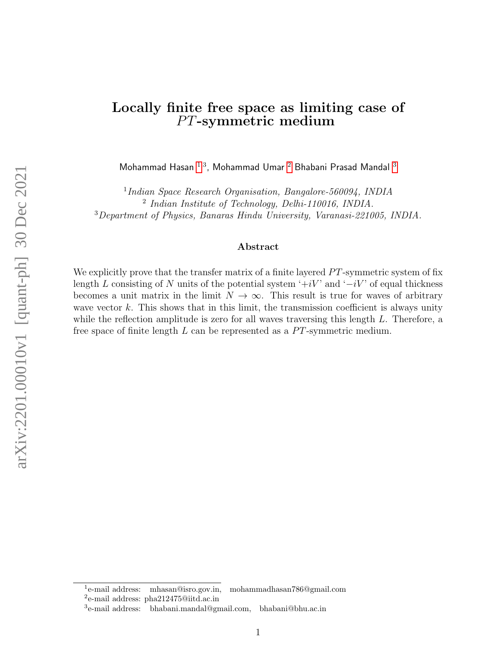## Locally finite free space as limiting case of PT-symmetric medium

Mohammad Hasan  $^{1,3}$  $^{1,3}$  $^{1,3}$  $^{1,3}$  $^{1,3}$ , Mohammad Umar  $^2$  $^2$  Bhabani Prasad Mandal  $^3$ 

<sup>1</sup>Indian Space Research Organisation, Bangalore-560094, INDIA 2 Indian Institute of Technology, Delhi-110016, INDIA. <sup>3</sup>Department of Physics, Banaras Hindu University, Varanasi-221005, INDIA.

### Abstract

We explicitly prove that the transfer matrix of a finite layered  $PT$ -symmetric system of fix length L consisting of N units of the potential system  $\div iV$  and  $\div iV$  of equal thickness becomes a unit matrix in the limit  $N \to \infty$ . This result is true for waves of arbitrary wave vector  $k$ . This shows that in this limit, the transmission coefficient is always unity while the reflection amplitude is zero for all waves traversing this length  $L$ . Therefore, a free space of finite length  $L$  can be represented as a  $PT$ -symmetric medium.

<span id="page-0-1"></span><span id="page-0-0"></span> $1$ e-mail address: e-mail address: mhasan@isro.gov.in, mohammadhasan786@gmail.com 2 e-mail address: pha212475@iitd.ac.in

<span id="page-0-2"></span><sup>3</sup> e-mail address: bhabani.mandal@gmail.com, bhabani@bhu.ac.in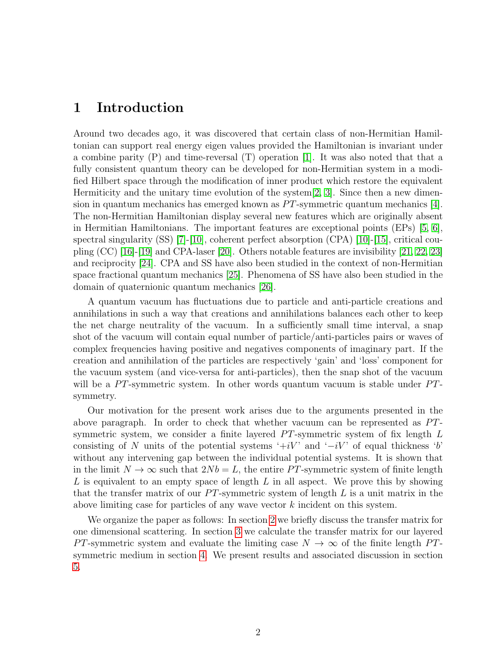### 1 Introduction

Around two decades ago, it was discovered that certain class of non-Hermitian Hamiltonian can support real energy eigen values provided the Hamiltonian is invariant under a combine parity (P) and time-reversal (T) operation [\[1\]](#page-7-0). It was also noted that that a fully consistent quantum theory can be developed for non-Hermitian system in a modified Hilbert space through the modification of inner product which restore the equivalent Hermiticity and the unitary time evolution of the system  $[2, 3]$  $[2, 3]$ . Since then a new dimension in quantum mechanics has emerged known as  $PT$ -symmetric quantum mechanics  $|4|$ . The non-Hermitian Hamiltonian display several new features which are originally absent in Hermitian Hamiltonians. The important features are exceptional points (EPs) [\[5,](#page-8-0) [6\]](#page-8-1), spectral singularity  $(SS)$  [\[7\]](#page-8-2)-[\[10\]](#page-8-3), coherent perfect absorption  $(CPA)$  [10]-[\[15\]](#page-8-4), critical coupling (CC) [\[16\]](#page-8-5)-[\[19\]](#page-8-6) and CPA-laser [\[20\]](#page-8-7). Others notable features are invisibility [\[21,](#page-8-8) [22,](#page-8-9) [23\]](#page-8-10) and reciprocity [\[24\]](#page-8-11). CPA and SS have also been studied in the context of non-Hermitian space fractional quantum mechanics [\[25\]](#page-8-12). Phenomena of SS have also been studied in the domain of quaternionic quantum mechanics [\[26\]](#page-8-13).

A quantum vacuum has fluctuations due to particle and anti-particle creations and annihilations in such a way that creations and annihilations balances each other to keep the net charge neutrality of the vacuum. In a sufficiently small time interval, a snap shot of the vacuum will contain equal number of particle/anti-particles pairs or waves of complex frequencies having positive and negatives components of imaginary part. If the creation and annihilation of the particles are respectively 'gain' and 'loss' component for the vacuum system (and vice-versa for anti-particles), then the snap shot of the vacuum will be a  $PT$ -symmetric system. In other words quantum vacuum is stable under  $PT$ symmetry.

Our motivation for the present work arises due to the arguments presented in the above paragraph. In order to check that whether vacuum can be represented as  $PT$ symmetric system, we consider a finite layered  $PT$ -symmetric system of fix length  $L$ consisting of N units of the potential systems  $\div iV$  and  $\div iV$  of equal thickness  $\check{b}$ without any intervening gap between the individual potential systems. It is shown that in the limit  $N \to \infty$  such that  $2Nb = L$ , the entire PT-symmetric system of finite length L is equivalent to an empty space of length  $L$  in all aspect. We prove this by showing that the transfer matrix of our  $PT$ -symmetric system of length  $L$  is a unit matrix in the above limiting case for particles of any wave vector k incident on this system.

We organize the paper as follows: In section [2](#page-2-0) we briefly discuss the transfer matrix for one dimensional scattering. In section [3](#page-2-1) we calculate the transfer matrix for our layered PT-symmetric system and evaluate the limiting case  $N \to \infty$  of the finite length PTsymmetric medium in section [4.](#page-4-0) We present results and associated discussion in section [5.](#page-7-4)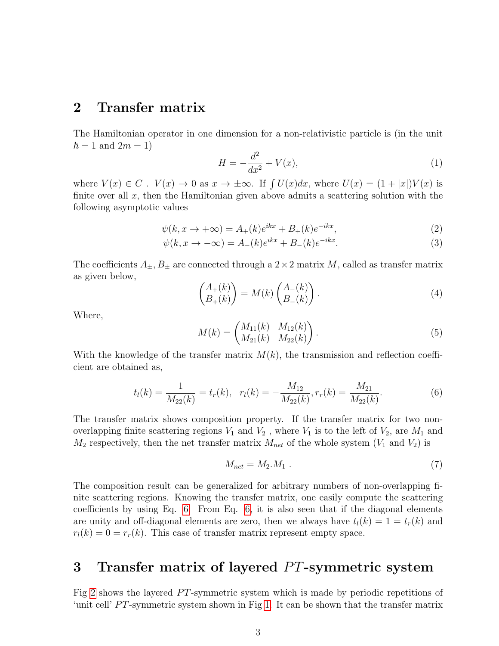## <span id="page-2-0"></span>2 Transfer matrix

The Hamiltonian operator in one dimension for a non-relativistic particle is (in the unit  $\hbar = 1$  and  $2m = 1$ )

$$
H = -\frac{d^2}{dx^2} + V(x),
$$
\n(1)

where  $V(x) \in C$ .  $V(x) \to 0$  as  $x \to \pm \infty$ . If  $\int U(x)dx$ , where  $U(x) = (1 + |x|)V(x)$  is finite over all  $x$ , then the Hamiltonian given above admits a scattering solution with the following asymptotic values

$$
\psi(k, x \to +\infty) = A_+(k)e^{ikx} + B_+(k)e^{-ikx},\tag{2}
$$

$$
\psi(k, x \to -\infty) = A_{-}(k)e^{ikx} + B_{-}(k)e^{-ikx}.
$$
\n(3)

The coefficients  $A_{\pm}, B_{\pm}$  are connected through a  $2 \times 2$  matrix M, called as transfer matrix as given below,

$$
\begin{pmatrix} A_+(k) \\ B_+(k) \end{pmatrix} = M(k) \begin{pmatrix} A_-(k) \\ B_-(k) \end{pmatrix} . \tag{4}
$$

Where,

$$
M(k) = \begin{pmatrix} M_{11}(k) & M_{12}(k) \\ M_{21}(k) & M_{22}(k) \end{pmatrix}.
$$
 (5)

With the knowledge of the transfer matrix  $M(k)$ , the transmission and reflection coefficient are obtained as,

<span id="page-2-2"></span>
$$
t_l(k) = \frac{1}{M_{22}(k)} = t_r(k), \quad r_l(k) = -\frac{M_{12}}{M_{22}(k)}, r_r(k) = \frac{M_{21}}{M_{22}(k)}.
$$
 (6)

The transfer matrix shows composition property. If the transfer matrix for two nonoverlapping finite scattering regions  $V_1$  and  $V_2$ , where  $V_1$  is to the left of  $V_2$ , are  $M_1$  and  $M_2$  respectively, then the net transfer matrix  $M_{net}$  of the whole system  $(V_1$  and  $V_2)$  is

$$
M_{net} = M_2.M_1 \tag{7}
$$

The composition result can be generalized for arbitrary numbers of non-overlapping finite scattering regions. Knowing the transfer matrix, one easily compute the scattering coefficients by using Eq. [6.](#page-2-2) From Eq. [6,](#page-2-2) it is also seen that if the diagonal elements are unity and off-diagonal elements are zero, then we always have  $t_l(k) = 1 = t_r(k)$  and  $r_l(k) = 0 = r_r(k)$ . This case of transfer matrix represent empty space.

# <span id="page-2-1"></span>3 Transfer matrix of layered  $PT$ -symmetric system

Fig [2](#page-3-0) shows the layered  $PT$ -symmetric system which is made by periodic repetitions of 'unit cell'  $PT$ -symmetric system shown in Fig [1.](#page-3-1) It can be shown that the transfer matrix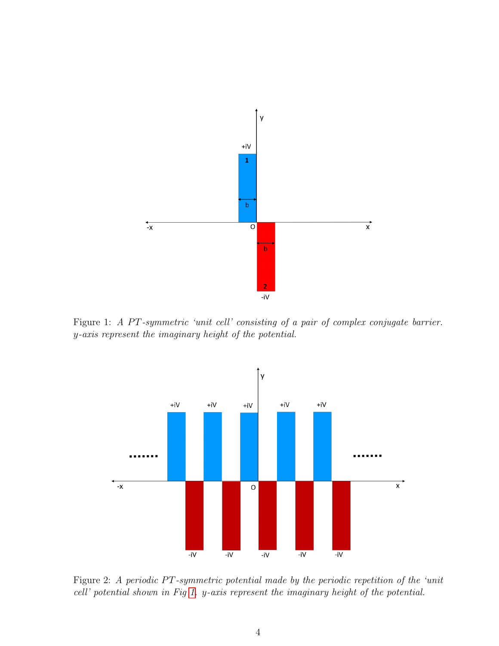

<span id="page-3-1"></span>Figure 1: A PT-symmetric 'unit cell' consisting of a pair of complex conjugate barrier. y-axis represent the imaginary height of the potential.



<span id="page-3-0"></span>Figure 2: A periodic PT-symmetric potential made by the periodic repetition of the 'unit cell' potential shown in Fig [1.](#page-3-1) y-axis represent the imaginary height of the potential.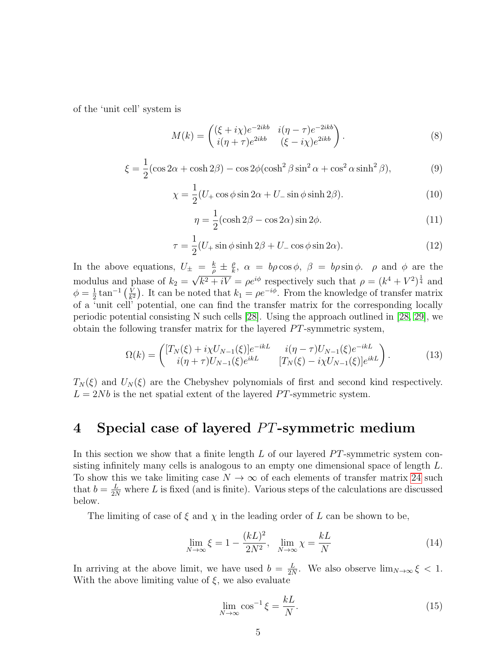of the 'unit cell' system is

$$
M(k) = \begin{pmatrix} (\xi + i\chi)e^{-2ikb} & i(\eta - \tau)e^{-2ikb} \\ i(\eta + \tau)e^{2ikb} & (\xi - i\chi)e^{2ikb} \end{pmatrix}.
$$
 (8)

$$
\xi = \frac{1}{2} (\cos 2\alpha + \cosh 2\beta) - \cos 2\phi (\cosh^2 \beta \sin^2 \alpha + \cos^2 \alpha \sinh^2 \beta),\tag{9}
$$

$$
\chi = \frac{1}{2}(U_{+}\cos\phi\sin 2\alpha + U_{-}\sin\phi\sinh 2\beta). \tag{10}
$$

$$
\eta = \frac{1}{2} (\cosh 2\beta - \cos 2\alpha) \sin 2\phi.
$$
 (11)

$$
\tau = \frac{1}{2}(U_{+}\sin\phi\sinh 2\beta + U_{-}\cos\phi\sin 2\alpha). \tag{12}
$$

In the above equations,  $U_{\pm} = \frac{k}{a}$  $\frac{k}{\rho} \pm \frac{\rho}{k}$  $\frac{\rho}{k}$ ,  $\alpha = b\rho \cos \phi$ ,  $\beta = b\rho \sin \phi$ .  $\rho$  and  $\phi$  are the modulus and phase of  $k_2 =$ √  $\overline{k^2+iV} = \rho e^{i\phi}$  respectively such that  $\rho = (k^4 + V^2)^{\frac{1}{4}}$  and  $\phi = \frac{1}{2}$  $\frac{1}{2}$  tan<sup>-1</sup>  $\left(\frac{V}{k}\right)$  $\frac{V}{k^2}$ ). It can be noted that  $k_1 = \rho e^{-i\phi}$ . From the knowledge of transfer matrix of a 'unit cell' potential, one can find the transfer matrix for the corresponding locally periodic potential consisting N such cells [\[28\]](#page-8-14). Using the approach outlined in [\[28,](#page-8-14) [29\]](#page-8-15), we obtain the following transfer matrix for the layered  $PT$ -symmetric system,

$$
\Omega(k) = \begin{pmatrix} [T_N(\xi) + i\chi U_{N-1}(\xi)]e^{-ikL} & i(\eta - \tau)U_{N-1}(\xi)e^{-ikL} \\ i(\eta + \tau)U_{N-1}(\xi)e^{ikL} & [T_N(\xi) - i\chi U_{N-1}(\xi)]e^{ikL} \end{pmatrix}.
$$
(13)

 $T_N(\xi)$  and  $U_N(\xi)$  are the Chebyshev polynomials of first and second kind respectively.  $L = 2Nb$  is the net spatial extent of the layered PT-symmetric system.

# <span id="page-4-0"></span>4 Special case of layered  $PT$ -symmetric medium

In this section we show that a finite length  $L$  of our layered PT-symmetric system consisting infinitely many cells is analogous to an empty one dimensional space of length L. To show this we take limiting case  $N \to \infty$  of each elements of transfer matrix [24](#page-6-0) such that  $b = \frac{L}{2N}$  where L is fixed (and is finite). Various steps of the calculations are discussed below.

The limiting of case of  $\xi$  and  $\chi$  in the leading order of L can be shown to be,

$$
\lim_{N \to \infty} \xi = 1 - \frac{(kL)^2}{2N^2}, \quad \lim_{N \to \infty} \chi = \frac{kL}{N}
$$
\n(14)

In arriving at the above limit, we have used  $b = \frac{L}{2\lambda}$  $\frac{L}{2N}$ . We also observe  $\lim_{N\to\infty} \xi < 1$ . With the above limiting value of  $\xi$ , we also evaluate

<span id="page-4-1"></span>
$$
\lim_{N \to \infty} \cos^{-1} \xi = \frac{kL}{N}.
$$
\n(15)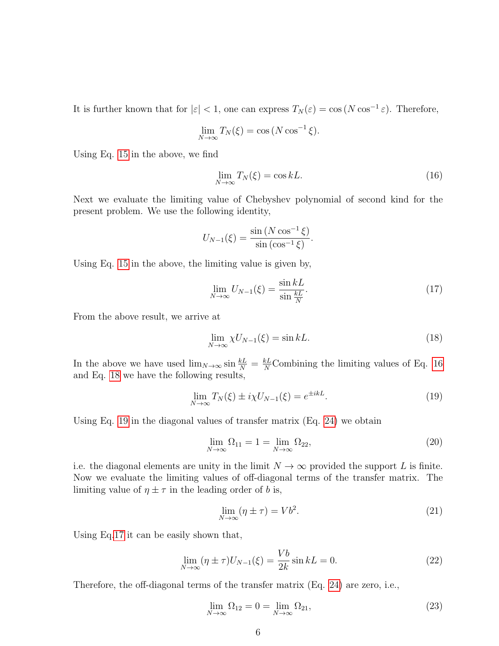It is further known that for  $|\varepsilon| < 1$ , one can express  $T_N(\varepsilon) = \cos(N \cos^{-1} \varepsilon)$ . Therefore,

<span id="page-5-0"></span>
$$
\lim_{N \to \infty} T_N(\xi) = \cos(N \cos^{-1} \xi).
$$

Using Eq. [15](#page-4-1) in the above, we find

$$
\lim_{N \to \infty} T_N(\xi) = \cos kL. \tag{16}
$$

Next we evaluate the limiting value of Chebyshev polynomial of second kind for the present problem. We use the following identity,

<span id="page-5-3"></span>
$$
U_{N-1}(\xi) = \frac{\sin (N \cos^{-1} \xi)}{\sin (\cos^{-1} \xi)}.
$$

Using Eq. [15](#page-4-1) in the above, the limiting value is given by,

$$
\lim_{N \to \infty} U_{N-1}(\xi) = \frac{\sin kL}{\sin \frac{kL}{N}}.\tag{17}
$$

From the above result, we arrive at

<span id="page-5-1"></span>
$$
\lim_{N \to \infty} \chi U_{N-1}(\xi) = \sin kL. \tag{18}
$$

In the above we have used  $\lim_{N\to\infty} \sin \frac{k}{N} = \frac{k}{N}$ Combining the limiting values of Eq. [16](#page-5-0) and Eq. [18](#page-5-1) we have the following results,

<span id="page-5-2"></span>
$$
\lim_{N \to \infty} T_N(\xi) \pm i\chi U_{N-1}(\xi) = e^{\pm ikL}.
$$
\n(19)

Using Eq. [19](#page-5-2) in the diagonal values of transfer matrix (Eq. [24\)](#page-6-0) we obtain

$$
\lim_{N \to \infty} \Omega_{11} = 1 = \lim_{N \to \infty} \Omega_{22},\tag{20}
$$

i.e. the diagonal elements are unity in the limit  $N \to \infty$  provided the support L is finite. Now we evaluate the limiting values of off-diagonal terms of the transfer matrix. The limiting value of  $\eta \pm \tau$  in the leading order of b is,

$$
\lim_{N \to \infty} (\eta \pm \tau) = Vb^2. \tag{21}
$$

Using Eq[.17](#page-5-3) it can be easily shown that,

$$
\lim_{N \to \infty} (\eta \pm \tau) U_{N-1}(\xi) = \frac{Vb}{2k} \sin kL = 0.
$$
\n(22)

Therefore, the off-diagonal terms of the transfer matrix (Eq. [24\)](#page-6-0) are zero, i.e.,

$$
\lim_{N \to \infty} \Omega_{12} = 0 = \lim_{N \to \infty} \Omega_{21},\tag{23}
$$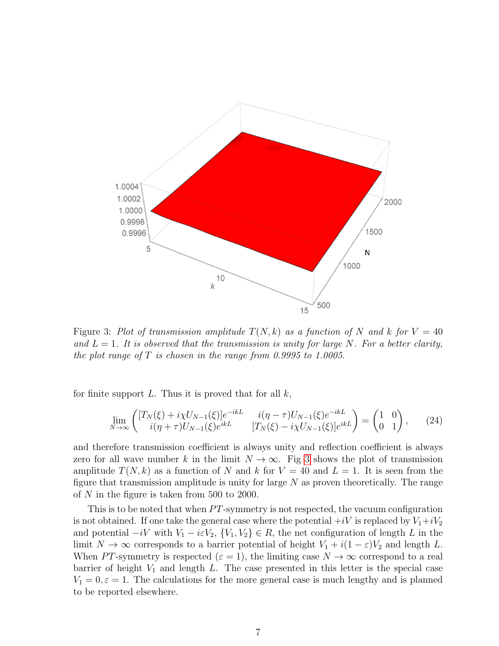

<span id="page-6-1"></span>Figure 3: Plot of transmission amplitude  $T(N, k)$  as a function of N and k for  $V = 40$ and  $L = 1$ . It is observed that the transmission is unity for large N. For a better clarity, the plot range of  $T$  is chosen in the range from 0.9995 to 1.0005.

for finite support  $L$ . Thus it is proved that for all  $k$ ,

<span id="page-6-0"></span>
$$
\lim_{N \to \infty} \begin{pmatrix} [T_N(\xi) + i\chi U_{N-1}(\xi)]e^{-ikL} & i(\eta - \tau)U_{N-1}(\xi)e^{-ikL} \\ i(\eta + \tau)U_{N-1}(\xi)e^{ikL} & [T_N(\xi) - i\chi U_{N-1}(\xi)]e^{ikL} \end{pmatrix} = \begin{pmatrix} 1 & 0 \\ 0 & 1 \end{pmatrix},
$$
(24)

and therefore transmission coefficient is always unity and reflection coefficient is always zero for all wave number k in the limit  $N \to \infty$ . Fig [3](#page-6-1) shows the plot of transmission amplitude  $T(N, k)$  as a function of N and k for  $V = 40$  and  $L = 1$ . It is seen from the figure that transmission amplitude is unity for large  $N$  as proven theoretically. The range of N in the figure is taken from 500 to 2000.

This is to be noted that when  $PT$ -symmetry is not respected, the vacuum configuration is not obtained. If one take the general case where the potential  $+iV$  is replaced by  $V_1+iV_2$ and potential  $-iV$  with  $V_1 - i\varepsilon V_2$ ,  $\{V_1, V_2\} \in R$ , the net configuration of length L in the limit  $N \to \infty$  corresponds to a barrier potential of height  $V_1 + i(1 - \varepsilon)V_2$  and length L. When PT-symmetry is respected  $(\varepsilon = 1)$ , the limiting case  $N \to \infty$  correspond to a real barrier of height  $V_1$  and length L. The case presented in this letter is the special case  $V_1 = 0, \varepsilon = 1$ . The calculations for the more general case is much lengthy and is planned to be reported elsewhere.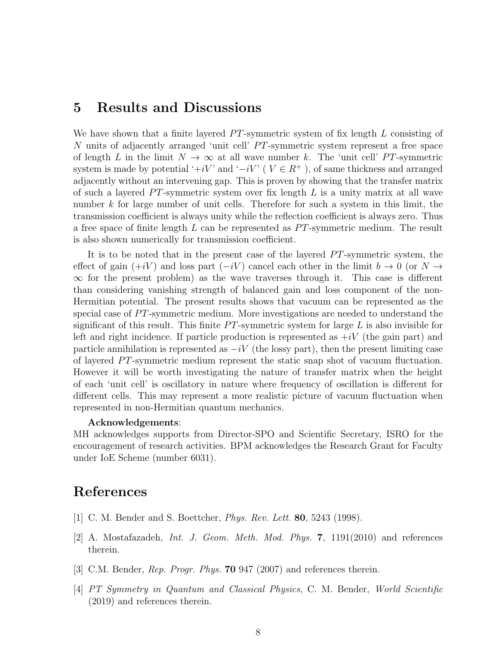### <span id="page-7-4"></span>5 Results and Discussions

We have shown that a finite layered  $PT$ -symmetric system of fix length  $L$  consisting of N units of adjacently arranged 'unit cell'  $PT$ -symmetric system represent a free space of length L in the limit  $N \to \infty$  at all wave number k. The 'unit cell' PT-symmetric system is made by potential '+iV' and ' $-iV$ ' ( $V \in R^+$ ), of same thickness and arranged adjacently without an intervening gap. This is proven by showing that the transfer matrix of such a layered  $PT$ -symmetric system over fix length  $L$  is a unity matrix at all wave number k for large number of unit cells. Therefore for such a system in this limit, the transmission coefficient is always unity while the reflection coefficient is always zero. Thus a free space of finite length  $L$  can be represented as  $PT$ -symmetric medium. The result is also shown numerically for transmission coefficient.

It is to be noted that in the present case of the layered  $PT$ -symmetric system, the effect of gain  $(+iV)$  and loss part  $(-iV)$  cancel each other in the limit  $b \to 0$  (or  $N \to$  $\infty$  for the present problem) as the wave traverses through it. This case is different than considering vanishing strength of balanced gain and loss component of the non-Hermitian potential. The present results shows that vacuum can be represented as the special case of  $PT$ -symmetric medium. More investigations are needed to understand the significant of this result. This finite  $PT$ -symmetric system for large L is also invisible for left and right incidence. If particle production is represented as  $+iV$  (the gain part) and particle annihilation is represented as  $-iV$  (the lossy part), then the present limiting case of layered  $PT$ -symmetric medium represent the static snap shot of vacuum fluctuation. However it will be worth investigating the nature of transfer matrix when the height of each 'unit cell' is oscillatory in nature where frequency of oscillation is different for different cells. This may represent a more realistic picture of vacuum fluctuation when represented in non-Hermitian quantum mechanics.

#### Acknowledgements:

MH acknowledges supports from Director-SPO and Scientific Secretary, ISRO for the encouragement of research activities. BPM acknowledges the Research Grant for Faculty under IoE Scheme (number 6031).

# References

- <span id="page-7-0"></span>[1] C. M. Bender and S. Boettcher, Phys. Rev. Lett. 80, 5243 (1998).
- <span id="page-7-1"></span>[2] A. Mostafazadeh, *Int. J. Geom. Meth. Mod. Phys.* **7**, 1191(2010) and references therein.
- <span id="page-7-2"></span>[3] C.M. Bender, *Rep. Progr. Phys.* **70** 947 (2007) and references therein.
- <span id="page-7-3"></span>[4] PT Symmetry in Quantum and Classical Physics, C. M. Bender, World Scientific (2019) and references therein.